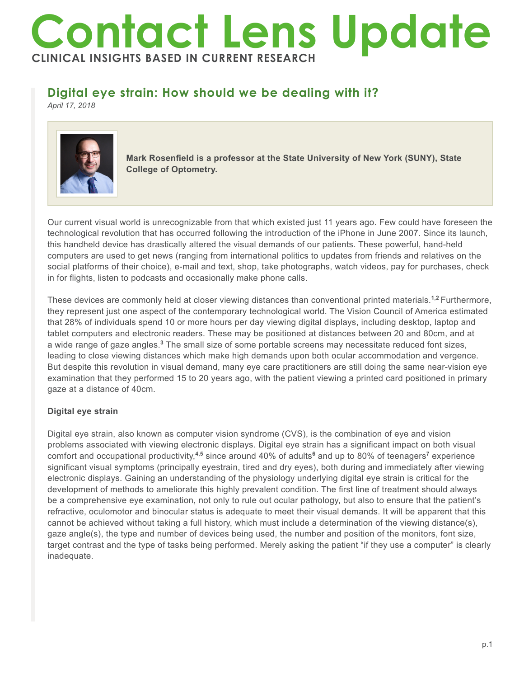# **Contact Lens Update CLINICAL INSIGHTS BASED IN CURRENT RESEARCH**

# **Digital eye strain: How should we be dealing with it?**

*April 17, 2018*



**Mark Rosenfield is a professor at the State University of New York (SUNY), State College of Optometry.** 

Our current visual world is unrecognizable from that which existed just 11 years ago. Few could have foreseen the technological revolution that has occurred following the introduction of the iPhone in June 2007. Since its launch, this handheld device has drastically altered the visual demands of our patients. These powerful, hand-held computers are used to get news (ranging from international politics to updates from friends and relatives on the social platforms of their choice), e-mail and text, shop, take photographs, watch videos, pay for purchases, check in for flights, listen to podcasts and occasionally make phone calls.

These devices are commonly held at closer viewing distances than conventional printed materials.**1,2** Furthermore, they represent just one aspect of the contemporary technological world. The Vision Council of America estimated that 28% of individuals spend 10 or more hours per day viewing digital displays, including desktop, laptop and tablet computers and electronic readers. These may be positioned at distances between 20 and 80cm, and at a wide range of gaze angles.<sup>3</sup> The small size of some portable screens may necessitate reduced font sizes, leading to close viewing distances which make high demands upon both ocular accommodation and vergence. But despite this revolution in visual demand, many eye care practitioners are still doing the same near-vision eye examination that they performed 15 to 20 years ago, with the patient viewing a printed card positioned in primary gaze at a distance of 40cm.

## **Digital eye strain**

Digital eye strain, also known as computer vision syndrome (CVS), is the combination of eye and vision problems associated with viewing electronic displays. Digital eye strain has a significant impact on both visual comfort and occupational productivity,**4,5** since around 40% of adults**<sup>6</sup>** and up to 80% of teenagers**<sup>7</sup>** experience significant visual symptoms (principally eyestrain, tired and dry eyes), both during and immediately after viewing electronic displays. Gaining an understanding of the physiology underlying digital eye strain is critical for the development of methods to ameliorate this highly prevalent condition. The first line of treatment should always be a comprehensive eye examination, not only to rule out ocular pathology, but also to ensure that the patient's refractive, oculomotor and binocular status is adequate to meet their visual demands. It will be apparent that this cannot be achieved without taking a full history, which must include a determination of the viewing distance(s), gaze angle(s), the type and number of devices being used, the number and position of the monitors, font size, target contrast and the type of tasks being performed. Merely asking the patient "if they use a computer" is clearly inadequate.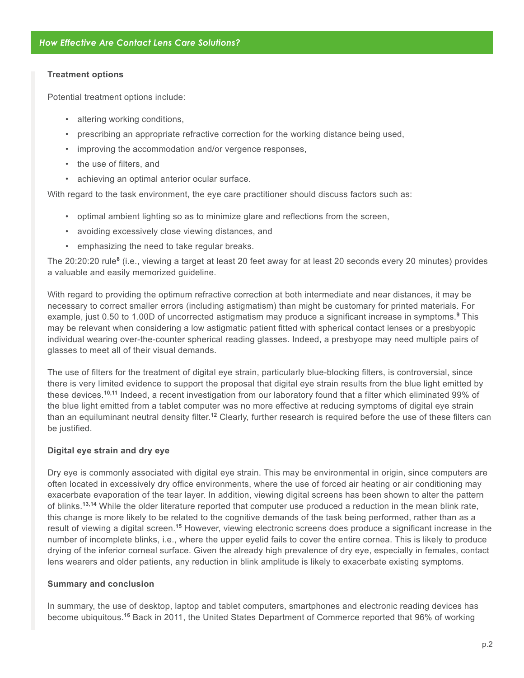#### **Treatment options**

Potential treatment options include:

- altering working conditions,
- prescribing an appropriate refractive correction for the working distance being used,
- improving the accommodation and/or vergence responses,
- the use of filters, and
- achieving an optimal anterior ocular surface.

With regard to the task environment, the eye care practitioner should discuss factors such as:

- optimal ambient lighting so as to minimize glare and reflections from the screen,
- avoiding excessively close viewing distances, and
- emphasizing the need to take regular breaks.

The 20:20:20 rule**<sup>8</sup>** (i.e., viewing a target at least 20 feet away for at least 20 seconds every 20 minutes) provides a valuable and easily memorized guideline.

With regard to providing the optimum refractive correction at both intermediate and near distances, it may be necessary to correct smaller errors (including astigmatism) than might be customary for printed materials. For example, just 0.50 to 1.00D of uncorrected astigmatism may produce a significant increase in symptoms.**<sup>9</sup>** This may be relevant when considering a low astigmatic patient fitted with spherical contact lenses or a presbyopic individual wearing over-the-counter spherical reading glasses. Indeed, a presbyope may need multiple pairs of glasses to meet all of their visual demands.

The use of filters for the treatment of digital eye strain, particularly blue-blocking filters, is controversial, since there is very limited evidence to support the proposal that digital eye strain results from the blue light emitted by these devices.**10,11** Indeed, a recent investigation from our laboratory found that a filter which eliminated 99% of the blue light emitted from a tablet computer was no more effective at reducing symptoms of digital eye strain than an equiluminant neutral density filter.**<sup>12</sup>** Clearly, further research is required before the use of these filters can be justified.

### **Digital eye strain and dry eye**

Dry eye is commonly associated with digital eye strain. This may be environmental in origin, since computers are often located in excessively dry office environments, where the use of forced air heating or air conditioning may exacerbate evaporation of the tear layer. In addition, viewing digital screens has been shown to alter the pattern of blinks.**13,14** While the older literature reported that computer use produced a reduction in the mean blink rate, this change is more likely to be related to the cognitive demands of the task being performed, rather than as a result of viewing a digital screen.**<sup>15</sup>** However, viewing electronic screens does produce a significant increase in the number of incomplete blinks, i.e., where the upper eyelid fails to cover the entire cornea. This is likely to produce drying of the inferior corneal surface. Given the already high prevalence of dry eye, especially in females, contact lens wearers and older patients, any reduction in blink amplitude is likely to exacerbate existing symptoms.

#### **Summary and conclusion**

In summary, the use of desktop, laptop and tablet computers, smartphones and electronic reading devices has become ubiquitous.**16** Back in 2011, the United States Department of Commerce reported that 96% of working